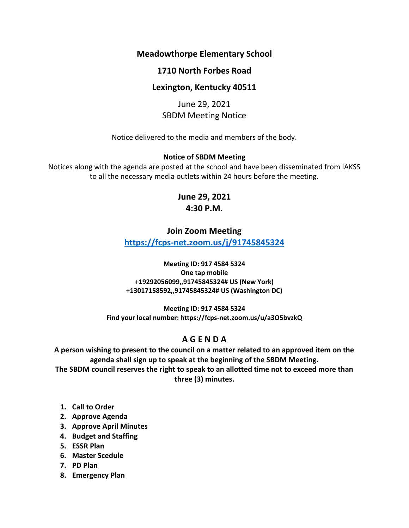## **Meadowthorpe Elementary School**

## **1710 North Forbes Road**

## **Lexington, Kentucky 40511**

June 29, 2021 SBDM Meeting Notice

Notice delivered to the media and members of the body.

### **Notice of SBDM Meeting**

Notices along with the agenda are posted at the school and have been disseminated from IAKSS to all the necessary media outlets within 24 hours before the meeting.

# **June 29, 2021 4:30 P.M.**

### **Join Zoom Meeting**

**<https://fcps-net.zoom.us/j/91745845324>**

#### **Meeting ID: 917 4584 5324 One tap mobile +19292056099,,91745845324# US (New York) +13017158592,,91745845324# US (Washington DC)**

**Meeting ID: 917 4584 5324 Find your local number: https://fcps-net.zoom.us/u/a3O5bvzkQ**

## **A G E N D A**

**A person wishing to present to the council on a matter related to an approved item on the agenda shall sign up to speak at the beginning of the SBDM Meeting.**

**The SBDM council reserves the right to speak to an allotted time not to exceed more than three (3) minutes.**

- **1. Call to Order**
- **2. Approve Agenda**
- **3. Approve April Minutes**
- **4. Budget and Staffing**
- **5. ESSR Plan**
- **6. Master Scedule**
- **7. PD Plan**
- **8. Emergency Plan**